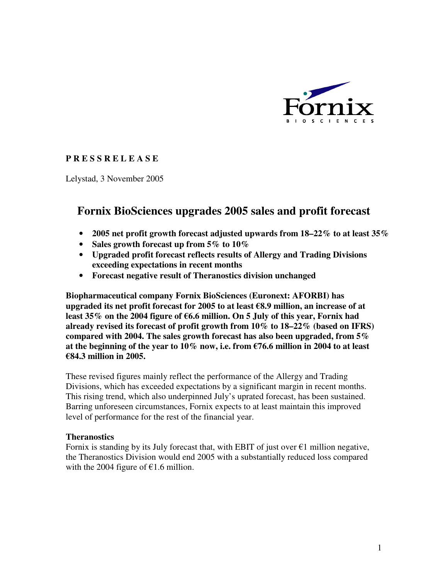

## **P R E S S R E L E A S E**

Lelystad, 3 November 2005

# **Fornix BioSciences upgrades 2005 sales and profit forecast**

- **2005 net profit growth forecast adjusted upwards from 18–22% to at least 35%**
- **Sales growth forecast up from 5% to 10%**
- **Upgraded profit forecast reflects results of Allergy and Trading Divisions exceeding expectations in recent months**
- **Forecast negative result of Theranostics division unchanged**

**Biopharmaceutical company Fornix BioSciences (Euronext: AFORBI) has upgraded its net profit forecast for 2005 to at least** €**8.9 million, an increase of at least 35% on the 2004 figure of** €**6.6 million. On 5 July of this year, Fornix had already revised its forecast of profit growth from 10% to 18–22% (based on IFRS) compared with 2004. The sales growth forecast has also been upgraded, from 5%**  at the beginning of the year to  $10\%$  now, i.e. from  $\epsilon$ 76.6 million in 2004 to at least €**84.3 million in 2005.** 

These revised figures mainly reflect the performance of the Allergy and Trading Divisions, which has exceeded expectations by a significant margin in recent months. This rising trend, which also underpinned July's uprated forecast, has been sustained. Barring unforeseen circumstances, Fornix expects to at least maintain this improved level of performance for the rest of the financial year.

### **Theranostics**

Fornix is standing by its July forecast that, with EBIT of just over  $\epsilon_1$  million negative, the Theranostics Division would end 2005 with a substantially reduced loss compared with the 2004 figure of  $\epsilon$ 1.6 million.